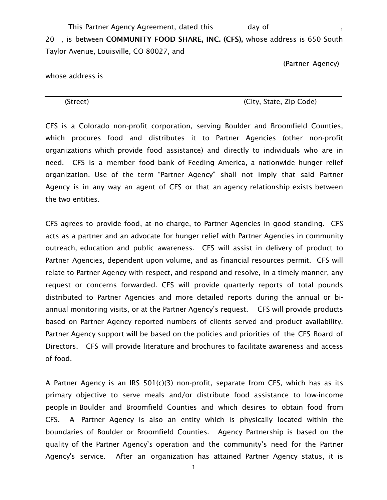This Partner Agency Agreement, dated this \_\_\_\_\_\_ day of \_\_\_\_\_\_\_\_\_\_ \_\_\_\_\_\_\_\_\_\_\_\_\_

20\_\_, is between COMMUNITY FOOD SHARE, INC. (CFS), whose address is 650 South Taylor Avenue, Louisville, CO 80027, and

(Partner Agency)

whose address is

(Street) (City, State, Zip Code)

CFS is a Colorado non-profit corporation, serving Boulder and Broomfield Counties, which procures food and distributes it to Partner Agencies (other non-profit organizations which provide food assistance) and directly to individuals who are in need. CFS is a member food bank of Feeding America, a nationwide hunger relief organization. Use of the term "Partner Agency" shall not imply that said Partner Agency is in any way an agent of CFS or that an agency relationship exists between the two entities.

CFS agrees to provide food, at no charge, to Partner Agencies in good standing. CFS acts as a partner and an advocate for hunger relief with Partner Agencies in community outreach, education and public awareness. CFS will assist in delivery of product to Partner Agencies, dependent upon volume, and as financial resources permit. CFS will relate to Partner Agency with respect, and respond and resolve, in a timely manner, any request or concerns forwarded. CFS will provide quarterly reports of total pounds distributed to Partner Agencies and more detailed reports during the annual or biannual monitoring visits, or at the Partner Agency's request. CFS will provide products based on Partner Agency reported numbers of clients served and product availability. Partner Agency support will be based on the policies and priorities of the CFS Board of Directors. CFS will provide literature and brochures to facilitate awareness and access of food.

A Partner Agency is an IRS 501(c)(3) non-profit, separate from CFS, which has as its primary objective to serve meals and/or distribute food assistance to low-income people in Boulder and Broomfield Counties and which desires to obtain food from CFS. A Partner Agency is also an entity which is physically located within the boundaries of Boulder or Broomfield Counties. Agency Partnership is based on the quality of the Partner Agency's operation and the community's need for the Partner Agency's service. After an organization has attained Partner Agency status, it is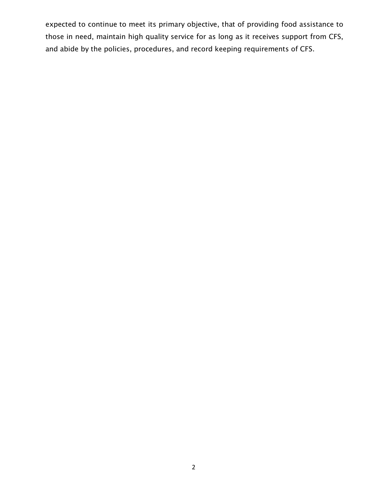expected to continue to meet its primary objective, that of providing food assistance to those in need, maintain high quality service for as long as it receives support from CFS, and abide by the policies, procedures, and record keeping requirements of CFS.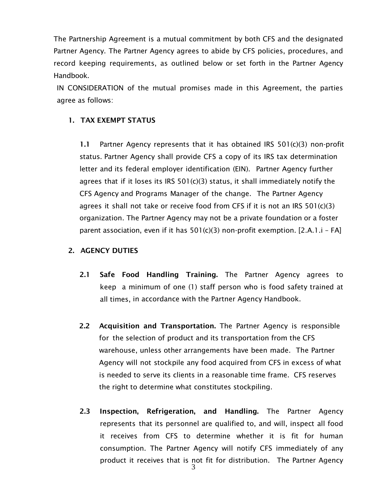The Partnership Agreement is a mutual commitment by both CFS and the designated Partner Agency. The Partner Agency agrees to abide by CFS policies, procedures, and record keeping requirements, as outlined below or set forth in the Partner Agency Handbook.

IN CONSIDERATION of the mutual promises made in this Agreement, the parties agree as follows:

## 1. TAX EXEMPT STATUS

1.1 Partner Agency represents that it has obtained IRS 501(c)(3) non-profit status. Partner Agency shall provide CFS a copy of its IRS tax determination letter and its federal employer identification (EIN). Partner Agency further agrees that if it loses its IRS  $501(c)(3)$  status, it shall immediately notify the CFS Agency and Programs Manager of the change. The Partner Agency agrees it shall not take or receive food from CFS if it is not an IRS  $501(c)(3)$ organization. The Partner Agency may not be a private foundation or a foster parent association, even if it has 501(c)(3) non-profit exemption. [2.A.1.i – FA]

#### 2. AGENCY DUTIES

- 2.1 Safe Food Handling Training. The Partner Agency agrees to keep a minimum of one (1) staff person who is food safety trained at all times, in accordance with the Partner Agency Handbook.
- 2.2 Acquisition and Transportation. The Partner Agency is responsible for the selection of product and its transportation from the CFS warehouse, unless other arrangements have been made. The Partner Agency will not stockpile any food acquired from CFS in excess of what is needed to serve its clients in a reasonable time frame. CFS reserves the right to determine what constitutes stockpiling.
- 2.3 Inspection, Refrigeration, and Handling. The Partner Agency represents that its personnel are qualified to, and will, inspect all food it receives from CFS to determine whether it is fit for human consumption. The Partner Agency will notify CFS immediately of any product it receives that is not fit for distribution. The Partner Agency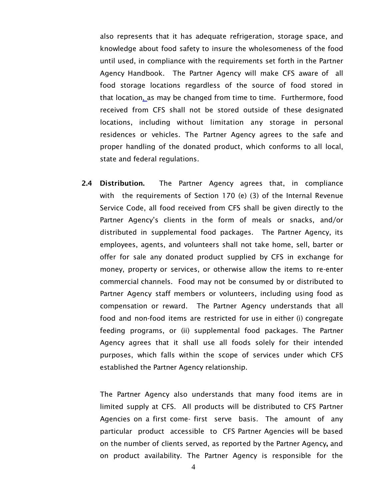also represents that it has adequate refrigeration, storage space, and knowledge about food safety to insure the wholesomeness of the food until used, in compliance with the requirements set forth in the Partner Agency Handbook. The Partner Agency will make CFS aware of all food storage locations regardless of the source of food stored in that location, as may be changed from time to time. Furthermore, food received from CFS shall not be stored outside of these designated locations, including without limitation any storage in personal residences or vehicles. The Partner Agency agrees to the safe and proper handling of the donated product, which conforms to all local, state and federal regulations*.*

2.4 Distribution. The Partner Agency agrees that, in compliance with the requirements of Section 170 (e) (3) of the Internal Revenue Service Code, all food received from CFS shall be given directly to the Partner Agency's clients in the form of meals or snacks, and/or distributed in supplemental food packages. The Partner Agency, its employees, agents, and volunteers shall not take home, sell, barter or offer for sale any donated product supplied by CFS in exchange for money, property or services, or otherwise allow the items to re-enter commercial channels. Food may not be consumed by or distributed to Partner Agency staff members or volunteers, including using food as compensation or reward. The Partner Agency understands that all food and non-food items are restricted for use in either (i) congregate feeding programs, or (ii) supplemental food packages. The Partner Agency agrees that it shall use all foods solely for their intended purposes, which falls within the scope of services under which CFS established the Partner Agency relationship.

The Partner Agency also understands that many food items are in limited supply at CFS. All products will be distributed to CFS Partner Agencies on a first come- first serve basis. The amount of any particular product accessible to CFS Partner Agencies will be based on the number of clients served, as reported by the Partner Agency, and on product availability. The Partner Agency is responsible for the

4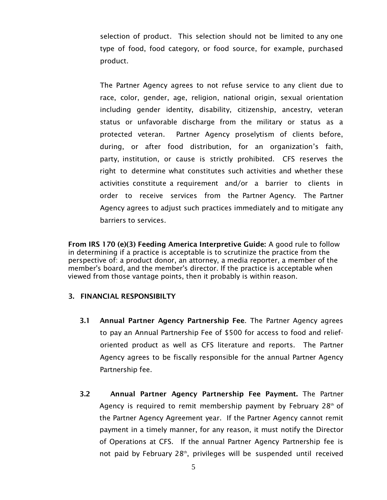selection of product. This selection should not be limited to any one type of food, food category, or food source, for example, purchased product.

The Partner Agency agrees to not refuse service to any client due to race, color, gender, age, religion, national origin, sexual orientation including gender identity, disability, citizenship, ancestry, veteran status or unfavorable discharge from the military or status as a protected veteran. Partner Agency proselytism of clients before, during, or after food distribution, for an organization's faith, party, institution, or cause is strictly prohibited. CFS reserves the right to determine what constitutes such activities and whether these activities constitute a requirement and/or a barrier to clients in order to receive services from the Partner Agency. The Partner Agency agrees to adjust such practices immediately and to mitigate any barriers to services.

From IRS 170 (e)(3) Feeding America Interpretive Guide: A good rule to follow in determining if a practice is acceptable is to scrutinize the practice from the perspective of: a product donor, an attorney, a media reporter, a member of the member's board, and the member's director. If the practice is acceptable when viewed from those vantage points, then it probably is within reason.

#### 3. FINANCIAL RESPONSIBILTY

- 3.1 Annual Partner Agency Partnership Fee. The Partner Agency agrees to pay an Annual Partnership Fee of \$500 for access to food and relieforiented product as well as CFS literature and reports. The Partner Agency agrees to be fiscally responsible for the annual Partner Agency Partnership fee.
- 3.2 Annual Partner Agency Partnership Fee Payment. The Partner Agency is required to remit membership payment by February  $28<sup>th</sup>$  of the Partner Agency Agreement year. If the Partner Agency cannot remit payment in a timely manner, for any reason, it must notify the Director of Operations at CFS. If the annual Partner Agency Partnership fee is not paid by February 28<sup>th</sup>, privileges will be suspended until received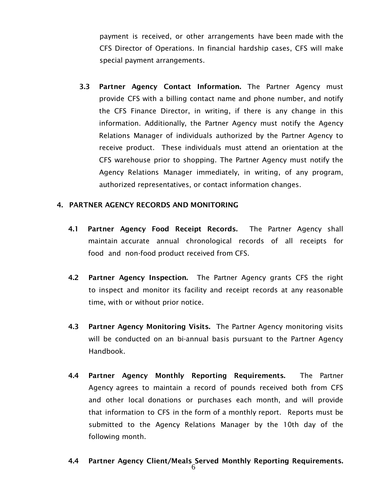payment is received, or other arrangements have been made with the CFS Director of Operations. In financial hardship cases, CFS will make special payment arrangements.

3.3 Partner Agency Contact Information. The Partner Agency must provide CFS with a billing contact name and phone number, and notify the CFS Finance Director, in writing, if there is any change in this information. Additionally, the Partner Agency must notify the Agency Relations Manager of individuals authorized by the Partner Agency to receive product. These individuals must attend an orientation at the CFS warehouse prior to shopping. The Partner Agency must notify the Agency Relations Manager immediately, in writing, of any program, authorized representatives, or contact information changes.

## 4. PARTNER AGENCY RECORDS AND MONITORING

- 4.1 Partner Agency Food Receipt Records. The Partner Agency shall maintain accurate annual chronological records of all receipts for food and non-food product received from CFS.
- 4.2 Partner Agency Inspection. The Partner Agency grants CFS the right to inspect and monitor its facility and receipt records at any reasonable time, with or without prior notice.
- 4.3 Partner Agency Monitoring Visits. The Partner Agency monitoring visits will be conducted on an bi-annual basis pursuant to the Partner Agency Handbook.
- 4.4 Partner Agency Monthly Reporting Requirements. The Partner Agency agrees to maintain a record of pounds received both from CFS and other local donations or purchases each month, and will provide that information to CFS in the form of a monthly report. Reports must be submitted to the Agency Relations Manager by the 10th day of the following month.

# 4.4 Partner Agency Client/Meals Served Monthly Reporting Requirements.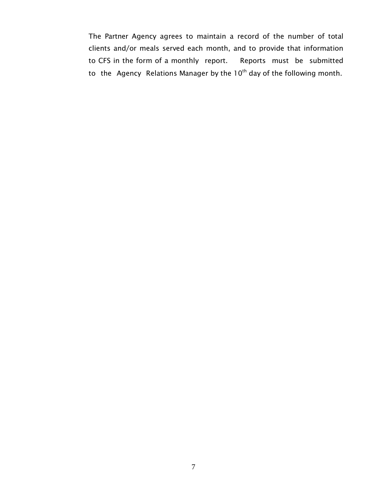The Partner Agency agrees to maintain a record of the number of total clients and/or meals served each month, and to provide that information to CFS in the form of a monthly report. Reports must be submitted to the Agency Relations Manager by the  $10<sup>th</sup>$  day of the following month.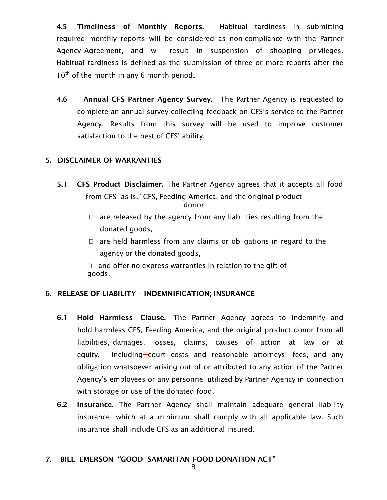4.5 Timeliness of Monthly Reports. Habitual tardiness in submitting required monthly reports will be considered as non-compliance with the Partner Agency Agreement, and will result in suspension of shopping privileges. Habitual tardiness is defined as the submission of three or more reports after the  $10^{th}$  of the month in any 6 month period.

4.6 Annual CFS Partner Agency Survey. The Partner Agency is requested to complete an annual survey collecting feedback on CFS's service to the Partner Agency. Results from this survey will be used to improve customer satisfaction to the best of CFS' ability.

# 5. DISCLAIMER OF WARRANTIES

- 5.1 CFS Product Disclaimer. The Partner Agency agrees that it accepts all food from CFS "as is." CFS, Feeding America, and the original product donor
	- $\Box$  are released by the agency from any liabilities resulting from the donated goods,
	- $\Box$  are held harmless from any claims or obligations in regard to the agency or the donated goods,

 $\Box$  and offer no express warranties in relation to the gift of goods.

# 6. RELEASE OF LIABILITY – INDEMNIFICATION; INSURANCE

- 6.1 Hold Harmless Clause. The Partner Agency agrees to indemnify and hold harmless CFS, Feeding America, and the original product donor from all liabilities, damages, losses, claims, causes of action at law or at equity, including-court costs and reasonable attorneys' fees, and any obligation whatsoever arising out of or attributed to any action of the Partner Agency's employees or any personnel utilized by Partner Agency in connection with storage or use of the donated food.
- 6.2 Insurance. The Partner Agency shall maintain adequate general liability insurance, which at a minimum shall comply with all applicable law. Such insurance shall include CFS as an additional insured.

#### 7. BILL EMERSON "GOOD SAMARITAN FOOD DONATION ACT"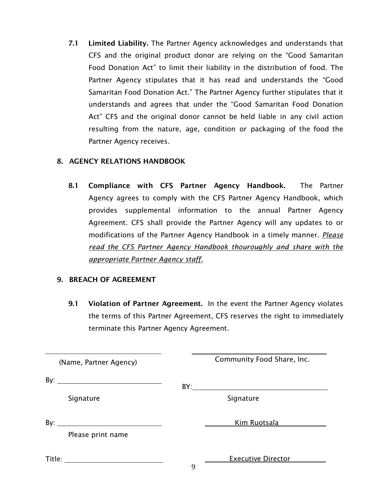7.1 Limited Liability. The Partner Agency acknowledges and understands that CFS and the original product donor are relying on the "Good Samaritan Food Donation Act" to limit their liability in the distribution of food. The Partner Agency stipulates that it has read and understands the "Good Samaritan Food Donation Act." The Partner Agency further stipulates that it understands and agrees that under the "Good Samaritan Food Donation Act" CFS and the original donor cannot be held liable in any civil action resulting from the nature, age, condition or packaging of the food the Partner Agency receives.

# 8. AGENCY RELATIONS HANDBOOK

8.1 Compliance with CFS Partner Agency Handbook. The Partner Agency agrees to comply with the CFS Partner Agency Handbook, which provides supplemental information to the annual Partner Agency Agreement. CFS shall provide the Partner Agency will any updates to or modifications of the Partner Agency Handbook in a timely manner. *Please read the CFS Partner Agency Handbook thouroughly and share with the appropriate Partner Agency staff.*

#### 9. BREACH OF AGREEMENT

9.1 Violation of Partner Agreement. In the event the Partner Agency violates the terms of this Partner Agreement, CFS reserves the right to immediately terminate this Partner Agency Agreement.

| (Name, Partner Agency)       | Community Food Share, Inc.     |
|------------------------------|--------------------------------|
| By: $\overline{\phantom{a}}$ |                                |
| Signature                    | Signature                      |
| By:                          | Kim Ruotsala                   |
| Please print name            |                                |
|                              | <b>Executive Director</b><br>9 |